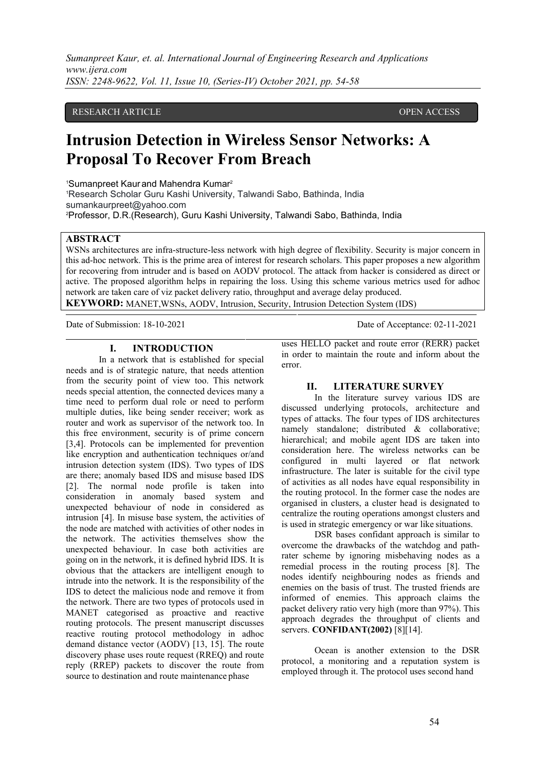#### RESEARCH ARTICLE **SECOND ACCESS**

# **Intrusion Detection in Wireless Sensor Networks: A Proposal To Recover From Breach**

<sup>1</sup>Sumanpreet Kaur and Mahendra Kumar<sup>2</sup>

<sup>1</sup>Research Scholar Guru Kashi University, Talwandi Sabo, Bathinda, India sumankaurpreet@yahoo.com <sup>2</sup>Professor, D.R.(Research), Guru Kashi University, Talwandi Sabo, Bathinda, India

## **ABSTRACT**

WSNs architectures are infra-structure-less network with high degree of flexibility. Security is major concern in this ad-hoc network. This is the prime area of interest for research scholars. This paper proposes a new algorithm for recovering from intruder and is based on AODV protocol. The attack from hacker is considered as direct or active. The proposed algorithm helps in repairing the loss. Using this scheme various metrics used for adhoc network are taken care of viz packet delivery ratio, throughput and average delay produced.

**KEYWORD:** MANET,WSNs, AODV, Intrusion, Security, Intrusion Detection System (IDS)

Date of Submission: 18-10-2021 Date of Acceptance: 02-11-2021

# **I. INTRODUCTION**

In a network that is established for special needs and is of strategic nature, that needs attention from the security point of view too. This network  $\mathbf{H}$ . needs special attention, the connected devices many a time need to perform dual role or need to perform multiple duties, like being sender receiver; work as router and work as supervisor of the network too. In this free environment, security is of prime concern [3,4]. Protocols can be implemented for prevention like encryption and authentication techniques or/and intrusion detection system (IDS). Two types of IDS are there; anomaly based IDS and misuse based IDS [2]. The normal node profile is taken into consideration in anomaly based system and unexpected behaviour of node in considered as intrusion [4]. In misuse base system, the activities of the node are matched with activities of other nodes in the network. The activities themselves show the unexpected behaviour. In case both activities are going on in the network, it is defined hybrid IDS. It is obvious that the attackers are intelligent enough to intrude into the network. It is the responsibility of the IDS to detect the malicious node and remove it from the network. There are two types of protocols used in MANET categorised as proactive and reactive routing protocols. The present manuscript discusses reactive routing protocol methodology in adhoc demand distance vector (AODV) [13, 15]. The route discovery phase uses route request (RREQ) and route reply (RREP) packets to discover the route from source to destination and route maintenance phase

uses HELLO packet and route error (RERR) packet in order to maintain the route and inform about the error.

#### **II. LITERATURE SURVEY**

In the literature survey various IDS are discussed underlying protocols, architecture and types of attacks. The four types of IDS architectures namely standalone; distributed & collaborative; hierarchical; and mobile agent IDS are taken into consideration here. The wireless networks can be configured in multi layered or flat network infrastructure. The later is suitable for the civil type of activities as all nodes have equal responsibility in the routing protocol. In the former case the nodes are organised in clusters, a cluster head is designated to centralize the routing operations amongst clusters and is used in strategic emergency or war like situations.

DSR bases confidant approach is similar to overcome the drawbacks of the watchdog and pathrater scheme by ignoring misbehaving nodes as a remedial process in the routing process [8]. The nodes identify neighbouring nodes as friends and enemies on the basis of trust. The trusted friends are informed of enemies. This approach claims the packet delivery ratio very high (more than 97%). This approach degrades the throughput of clients and servers. **CONFIDANT(2002)** [8][14].

Ocean is another extension to the DSR protocol, a monitoring and a reputation system is employed through it. The protocol uses second hand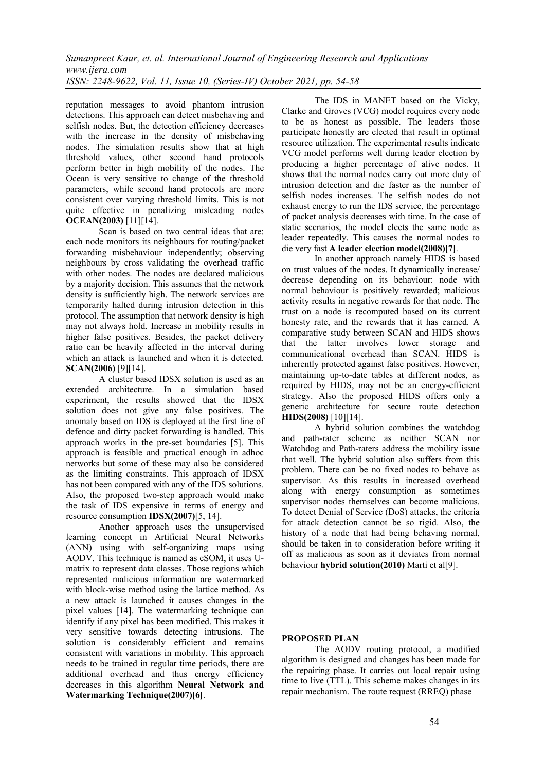reputation messages to avoid phantom intrusion detections. This approach can detect misbehaving and selfish nodes. But, the detection efficiency decreases with the increase in the density of misbehaving nodes. The simulation results show that at high threshold values, other second hand protocols perform better in high mobility of the nodes. The Ocean is very sensitive to change of the threshold parameters, while second hand protocols are more consistent over varying threshold limits. This is not quite effective in penalizing misleading nodes **OCEAN(2003)** [11][14].

Scan is based on two central ideas that are: each node monitors its neighbours for routing/packet forwarding misbehaviour independently; observing neighbours by cross validating the overhead traffic with other nodes. The nodes are declared malicious by a majority decision. This assumes that the network density is sufficiently high. The network services are temporarily halted during intrusion detection in this protocol. The assumption that network density is high may not always hold. Increase in mobility results in higher false positives. Besides, the packet delivery ratio can be heavily affected in the interval during which an attack is launched and when it is detected. **SCAN(2006)** [9][14].

A cluster based IDSX solution is used as an extended architecture. In a simulation based experiment, the results showed that the IDSX solution does not give any false positives. The anomaly based on IDS is deployed at the first line of defence and dirty packet forwarding is handled. This approach works in the pre-set boundaries [5]. This approach is feasible and practical enough in adhoc networks but some of these may also be considered as the limiting constraints. This approach of IDSX has not been compared with any of the IDS solutions. Also, the proposed two-step approach would make the task of IDS expensive in terms of energy and resource consumption **IDSX(2007)**[5, 14].

Another approach uses the unsupervised learning concept in Artificial Neural Networks (ANN) using with self-organizing maps using AODV. This technique is named as eSOM, it uses Umatrix to represent data classes. Those regions which represented malicious information are watermarked with block-wise method using the lattice method. As a new attack is launched it causes changes in the pixel values [14]. The watermarking technique can identify if any pixel has been modified. This makes it very sensitive towards detecting intrusions. The solution is considerably efficient and remains consistent with variations in mobility. This approach needs to be trained in regular time periods, there are additional overhead and thus energy efficiency decreases in this algorithm **Neural Network and Watermarking Technique(2007)[6]**.

The IDS in MANET based on the Vicky, Clarke and Groves (VCG) model requires every node to be as honest as possible. The leaders those participate honestly are elected that result in optimal resource utilization. The experimental results indicate VCG model performs well during leader election by producing a higher percentage of alive nodes. It shows that the normal nodes carry out more duty of intrusion detection and die faster as the number of selfish nodes increases. The selfish nodes do not exhaust energy to run the IDS service, the percentage of packet analysis decreases with time. In the case of static scenarios, the model elects the same node as leader repeatedly. This causes the normal nodes to die very fast **A leader election model(2008)[7]**.

In another approach namely HIDS is based on trust values of the nodes. It dynamically increase/ decrease depending on its behaviour: node with normal behaviour is positively rewarded; malicious activity results in negative rewards for that node. The trust on a node is recomputed based on its current honesty rate, and the rewards that it has earned. A comparative study between SCAN and HIDS shows that the latter involves lower storage and communicational overhead than SCAN. HIDS is inherently protected against false positives. However, maintaining up-to-date tables at different nodes, as required by HIDS, may not be an energy-efficient strategy. Also the proposed HIDS offers only a generic architecture for secure route detection **HIDS(2008)** [10][14].

A hybrid solution combines the watchdog and path-rater scheme as neither SCAN nor Watchdog and Path-raters address the mobility issue that well. The hybrid solution also suffers from this problem. There can be no fixed nodes to behave as supervisor. As this results in increased overhead along with energy consumption as sometimes supervisor nodes themselves can become malicious. To detect Denial of Service (DoS) attacks, the criteria for attack detection cannot be so rigid. Also, the history of a node that had being behaving normal, should be taken in to consideration before writing it off as malicious as soon as it deviates from normal behaviour **hybrid solution(2010)** Marti et al[9].

## **PROPOSED PLAN**

The AODV routing protocol, a modified algorithm is designed and changes has been made for the repairing phase. It carries out local repair using time to live (TTL). This scheme makes changes in its repair mechanism. The route request (RREQ) phase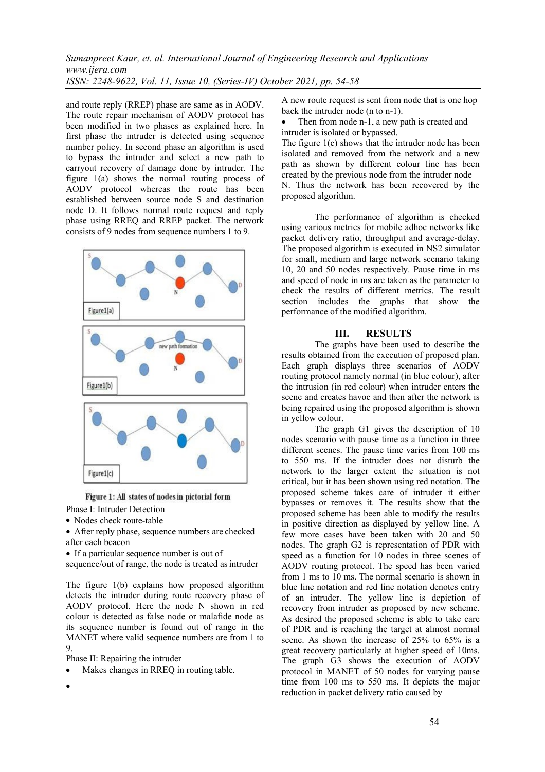and route reply (RREP) phase are same as in AODV. The route repair mechanism of AODV protocol has been modified in two phases as explained here. In first phase the intruder is detected using sequence number policy. In second phase an algorithm is used to bypass the intruder and select a new path to carryout recovery of damage done by intruder. The figure 1(a) shows the normal routing process of AODV protocol whereas the route has been established between source node S and destination node D. It follows normal route request and reply phase using RREQ and RREP packet. The network consists of 9 nodes from sequence numbers 1 to 9.



Figure 1: All states of nodes in pictorial form

- Phase I: Intruder Detection
- Nodes check route-table
- After reply phase, sequence numbers are checked after each beacon
- If a particular sequence number is out of

sequence/out of range, the node is treated as intruder

The figure 1(b) explains how proposed algorithm detects the intruder during route recovery phase of AODV protocol. Here the node N shown in red colour is detected as false node or malafide node as its sequence number is found out of range in the MANET where valid sequence numbers are from 1 to 9.

Phase II: Repairing the intruder

Makes changes in RREQ in routing table.

 $\bullet$  and  $\bullet$  and  $\bullet$  and  $\bullet$ 

A new route request is sent from node that is one hop back the intruder node (n to n-1).

 Then from node n-1, a new path is created and intruder is isolated or bypassed.

The figure 1(c) shows that the intruder node has been isolated and removed from the network and a new path as shown by different colour line has been created by the previous node from the intruder node N. Thus the network has been recovered by the proposed algorithm.

The performance of algorithm is checked using various metrics for mobile adhoc networks like packet delivery ratio, throughput and average-delay. The proposed algorithm is executed in NS2 simulator for small, medium and large network scenario taking 10, 20 and 50 nodes respectively. Pause time in ms and speed of node in ms are taken as the parameter to check the results of different metrics. The result section includes the graphs that show the performance of the modified algorithm.

#### **III. RESULTS**

The graphs have been used to describe the results obtained from the execution of proposed plan. Each graph displays three scenarios of AODV routing protocol namely normal (in blue colour), after the intrusion (in red colour) when intruder enters the scene and creates havoc and then after the network is being repaired using the proposed algorithm is shown in yellow colour.

The graph G1 gives the description of 10 nodes scenario with pause time as a function in three different scenes. The pause time varies from 100 ms to 550 ms. If the intruder does not disturb the network to the larger extent the situation is not critical, but it has been shown using red notation. The proposed scheme takes care of intruder it either bypasses or removes it. The results show that the proposed scheme has been able to modify the results in positive direction as displayed by yellow line. A few more cases have been taken with 20 and 50 nodes. The graph G2 is representation of PDR with speed as a function for 10 nodes in three scenes of AODV routing protocol. The speed has been varied from 1 ms to 10 ms. The normal scenario is shown in blue line notation and red line notation denotes entry of an intruder. The yellow line is depiction of recovery from intruder as proposed by new scheme. As desired the proposed scheme is able to take care of PDR and is reaching the target at almost normal scene. As shown the increase of 25% to 65% is a great recovery particularly at higher speed of 10ms. The graph G3 shows the execution of AODV protocol in MANET of 50 nodes for varying pause time from 100 ms to 550 ms. It depicts the major reduction in packet delivery ratio caused by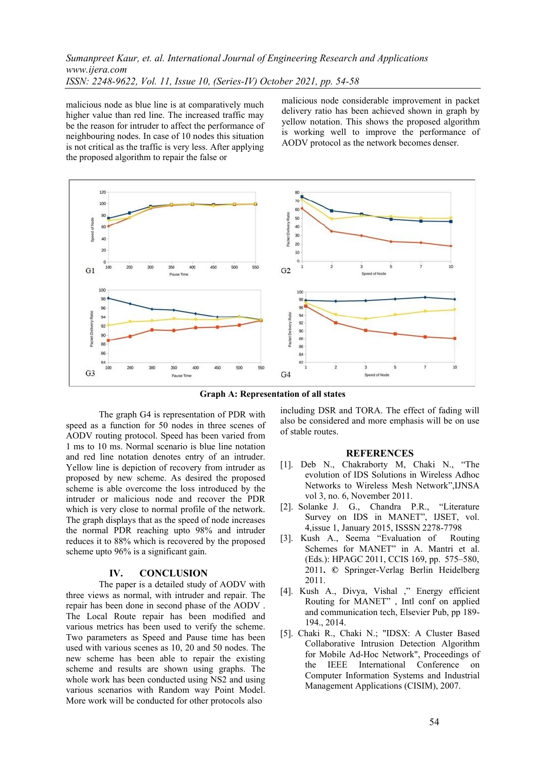malicious node as blue line is at comparatively much higher value than red line. The increased traffic may be the reason for intruder to affect the performance of neighbouring nodes. In case of 10 nodes this situation is not critical as the traffic is very less. After applying the proposed algorithm to repair the false or

malicious node considerable improvement in packet delivery ratio has been achieved shown in graph by yellow notation. This shows the proposed algorithm is working well to improve the performance of AODV protocol as the network becomes denser.



**Graph A: Representation of all states**

The graph G4 is representation of PDR with speed as a function for 50 nodes in three scenes of AODV routing protocol. Speed has been varied from 1 ms to 10 ms. Normal scenario is blue line notation and red line notation denotes entry of an intruder. Yellow line is depiction of recovery from intruder as proposed by new scheme. As desired the proposed scheme is able overcome the loss introduced by the intruder or malicious node and recover the PDR which is very close to normal profile of the network. The graph displays that as the speed of node increases the normal PDR reaching upto 98% and intruder reduces it to 88% which is recovered by the proposed scheme upto 96% is a significant gain.

#### **IV. CONCLUSION**

The paper is a detailed study of AODV with three views as normal, with intruder and repair. The repair has been done in second phase of the AODV . The Local Route repair has been modified and various metrics has been used to verify the scheme. Two parameters as Speed and Pause time has been used with various scenes as 10, 20 and 50 nodes. The new scheme has been able to repair the existing scheme and results are shown using graphs. The whole work has been conducted using NS2 and using various scenarios with Random way Point Model. More work will be conducted for other protocols also

including DSR and TORA. The effect of fading will also be considered and more emphasis will be on use of stable routes.

#### **REFERENCES**

- [1]. Deb N., Chakraborty M, Chaki N., "The evolution of IDS Solutions in Wireless Adhoc Networks to Wireless Mesh Network",IJNSA vol 3, no. 6, November 2011.
- [2]. Solanke J. G., Chandra P.R., "Literature Survey on IDS in MANET", IJSET, vol. 4,issue 1, January 2015, ISSSN 2278-7798
- [3]. Kush A., Seema "Evaluation of Routing Schemes for MANET" in A. Mantri et al. (Eds.): HPAGC 2011, CCIS 169, pp. 575–580, 2011**. ©** Springer-Verlag Berlin Heidelberg 2011.
- [4]. Kush A., Divya, Vishal ," Energy efficient Routing for MANET" , Intl conf on applied and communication tech, Elsevier Pub, pp 189- 194., 2014.
- [5]. Chaki R., Chaki N.; "IDSX: A Cluster Based Collaborative Intrusion Detection Algorithm for Mobile Ad-Hoc Network", Proceedings of the IEEE International Conference on Computer Information Systems and Industrial Management Applications (CISIM), 2007.